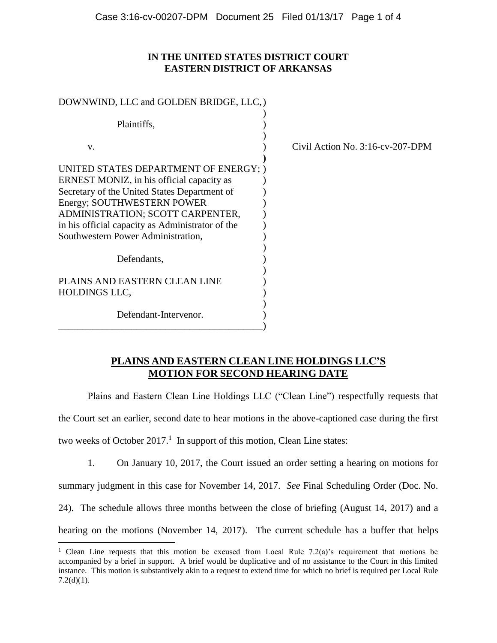## **IN THE UNITED STATES DISTRICT COURT EASTERN DISTRICT OF ARKANSAS**

| DOWNWIND, LLC and GOLDEN BRIDGE, LLC, )                                                                                                                                                                                                                                                        |                                  |
|------------------------------------------------------------------------------------------------------------------------------------------------------------------------------------------------------------------------------------------------------------------------------------------------|----------------------------------|
| Plaintiffs,                                                                                                                                                                                                                                                                                    |                                  |
| V.                                                                                                                                                                                                                                                                                             | Civil Action No. 3:16-cv-207-DPM |
| UNITED STATES DEPARTMENT OF ENERGY; )<br>ERNEST MONIZ, in his official capacity as<br>Secretary of the United States Department of<br>Energy; SOUTHWESTERN POWER<br>ADMINISTRATION; SCOTT CARPENTER,<br>in his official capacity as Administrator of the<br>Southwestern Power Administration, |                                  |
| Defendants,                                                                                                                                                                                                                                                                                    |                                  |
| PLAINS AND EASTERN CLEAN LINE<br><b>HOLDINGS LLC,</b>                                                                                                                                                                                                                                          |                                  |
| Defendant-Intervenor.                                                                                                                                                                                                                                                                          |                                  |

# **PLAINS AND EASTERN CLEAN LINE HOLDINGS LLC'S MOTION FOR SECOND HEARING DATE**

Plains and Eastern Clean Line Holdings LLC ("Clean Line") respectfully requests that

the Court set an earlier, second date to hear motions in the above-captioned case during the first

two weeks of October  $2017<sup>1</sup>$  In support of this motion, Clean Line states:

 $\overline{a}$ 

1. On January 10, 2017, the Court issued an order setting a hearing on motions for

summary judgment in this case for November 14, 2017. *See* Final Scheduling Order (Doc. No.

24). The schedule allows three months between the close of briefing (August 14, 2017) and a

hearing on the motions (November 14, 2017). The current schedule has a buffer that helps

<sup>&</sup>lt;sup>1</sup> Clean Line requests that this motion be excused from Local Rule 7.2(a)'s requirement that motions be accompanied by a brief in support. A brief would be duplicative and of no assistance to the Court in this limited instance. This motion is substantively akin to a request to extend time for which no brief is required per Local Rule  $7.2(d)(1)$ .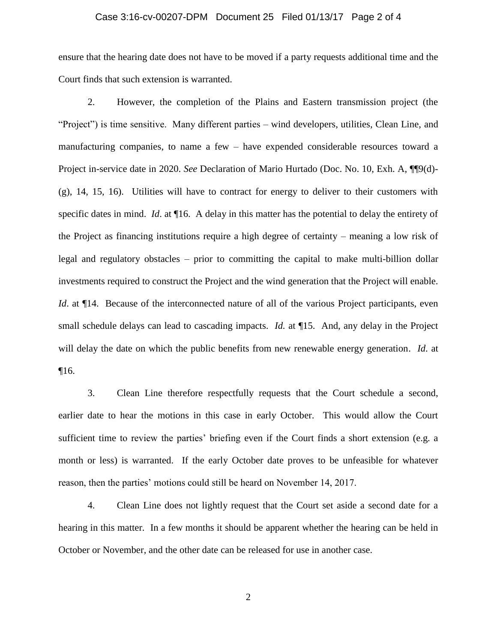#### Case 3:16-cv-00207-DPM Document 25 Filed 01/13/17 Page 2 of 4

ensure that the hearing date does not have to be moved if a party requests additional time and the Court finds that such extension is warranted.

2. However, the completion of the Plains and Eastern transmission project (the "Project") is time sensitive. Many different parties – wind developers, utilities, Clean Line, and manufacturing companies, to name a few – have expended considerable resources toward a Project in-service date in 2020. *See* Declaration of Mario Hurtado (Doc. No. 10, Exh. A, ¶¶9(d)- (g), 14, 15, 16). Utilities will have to contract for energy to deliver to their customers with specific dates in mind. *Id*. at ¶16. A delay in this matter has the potential to delay the entirety of the Project as financing institutions require a high degree of certainty – meaning a low risk of legal and regulatory obstacles – prior to committing the capital to make multi-billion dollar investments required to construct the Project and the wind generation that the Project will enable. *Id.* at  $\P$ 14. Because of the interconnected nature of all of the various Project participants, even small schedule delays can lead to cascading impacts. *Id.* at ¶15. And, any delay in the Project will delay the date on which the public benefits from new renewable energy generation. *Id*. at ¶16.

3. Clean Line therefore respectfully requests that the Court schedule a second, earlier date to hear the motions in this case in early October. This would allow the Court sufficient time to review the parties' briefing even if the Court finds a short extension (e.g. a month or less) is warranted. If the early October date proves to be unfeasible for whatever reason, then the parties' motions could still be heard on November 14, 2017.

4. Clean Line does not lightly request that the Court set aside a second date for a hearing in this matter. In a few months it should be apparent whether the hearing can be held in October or November, and the other date can be released for use in another case.

2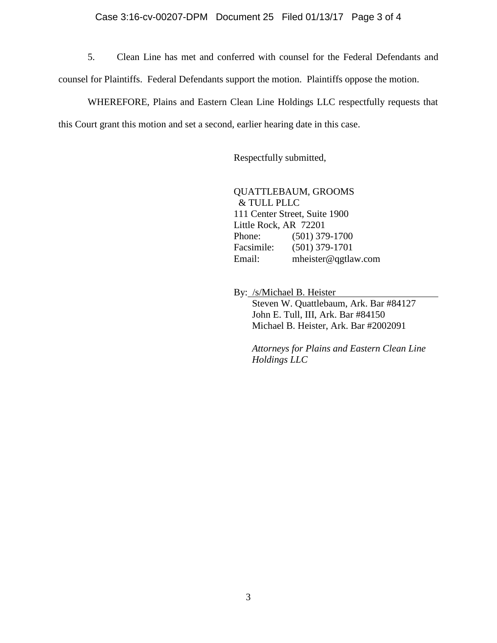#### Case 3:16-cv-00207-DPM Document 25 Filed 01/13/17 Page 3 of 4

5. Clean Line has met and conferred with counsel for the Federal Defendants and counsel for Plaintiffs. Federal Defendants support the motion. Plaintiffs oppose the motion.

WHEREFORE, Plains and Eastern Clean Line Holdings LLC respectfully requests that this Court grant this motion and set a second, earlier hearing date in this case.

Respectfully submitted,

QUATTLEBAUM, GROOMS & TULL PLLC 111 Center Street, Suite 1900 Little Rock, AR 72201 Phone: (501) 379-1700 Facsimile: (501) 379-1701 Email: mheister@qgtlaw.com

By: /s/Michael B. Heister

Steven W. Quattlebaum, Ark. Bar #84127 John E. Tull, III, Ark. Bar #84150 Michael B. Heister, Ark. Bar #2002091

*Attorneys for Plains and Eastern Clean Line Holdings LLC*